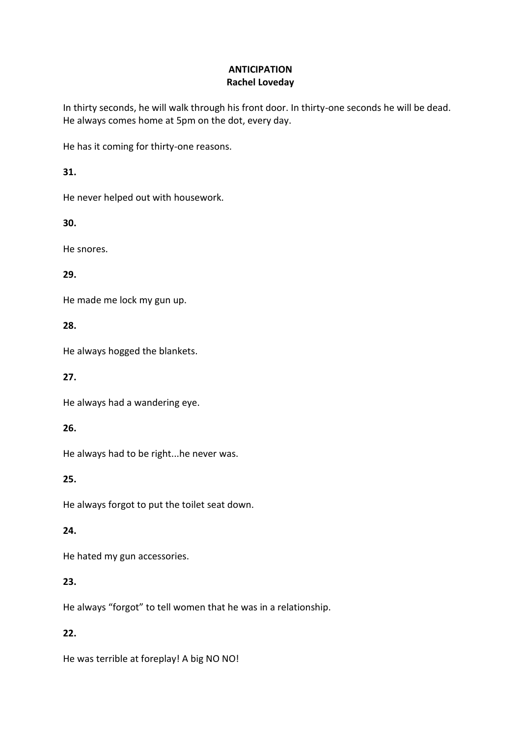#### **ANTICIPATION Rachel Loveday**

In thirty seconds, he will walk through his front door. In thirty-one seconds he will be dead. He always comes home at 5pm on the dot, every day.

He has it coming for thirty-one reasons.

**31.**

He never helped out with housework.

**30.**

He snores.

#### **29.**

He made me lock my gun up.

#### **28.**

He always hogged the blankets.

#### **27.**

He always had a wandering eye.

#### **26.**

He always had to be right...he never was.

#### **25.**

He always forgot to put the toilet seat down.

#### **24.**

He hated my gun accessories.

## **23.**

He always "forgot" to tell women that he was in a relationship.

## **22.**

He was terrible at foreplay! A big NO NO!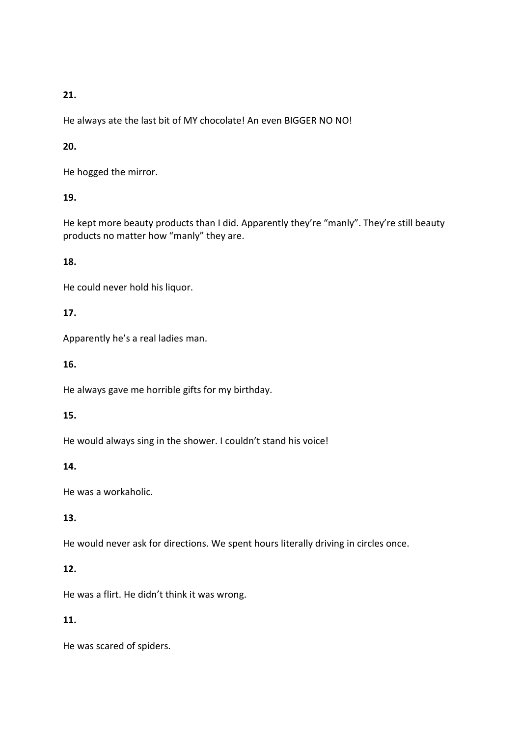#### **21.**

He always ate the last bit of MY chocolate! An even BIGGER NO NO!

## **20.**

He hogged the mirror.

# **19.**

He kept more beauty products than I did. Apparently they're "manly". They're still beauty products no matter how "manly" they are.

## **18.**

He could never hold his liquor.

## **17.**

Apparently he's a real ladies man.

#### **16.**

He always gave me horrible gifts for my birthday.

## **15.**

He would always sing in the shower. I couldn't stand his voice!

## **14.**

He was a workaholic.

## **13.**

He would never ask for directions. We spent hours literally driving in circles once.

## **12.**

He was a flirt. He didn't think it was wrong.

## **11.**

He was scared of spiders.